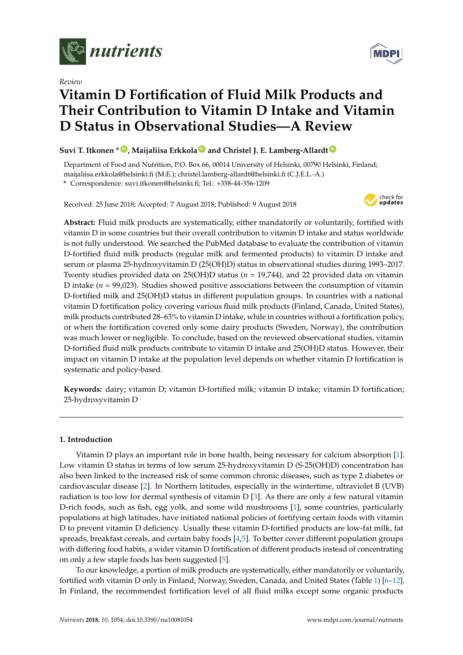

*Review*

# **Vitamin D Fortification of Fluid Milk Products and Their Contribution to Vitamin D Intake and Vitamin D Status in Observational Studies—A Review**

# **Suvi T. Itkonen \* [ID](https://orcid.org/0000-0003-1635-8229) , Maijaliisa Erkkola [ID](https://orcid.org/0000-0002-6966-1523) and Christel J. E. Lamberg-Allardt [ID](https://orcid.org/0000-0001-7326-1904)**

Department of Food and Nutrition, P.O. Box 66, 00014 University of Helsinki, 00790 Helsinki, Finland; maijaliisa.erkkola@helsinki.fi (M.E.); christel.lamberg-allardt@helsinki.fi (C.J.E.L.-A.)

**\*** Correspondence: suvi.itkonen@helsinki.fi; Tel.: +358-44-356-1209

Received: 25 June 2018; Accepted: 7 August 2018; Published: 9 August 2018



**Abstract:** Fluid milk products are systematically, either mandatorily or voluntarily, fortified with vitamin D in some countries but their overall contribution to vitamin D intake and status worldwide is not fully understood. We searched the PubMed database to evaluate the contribution of vitamin D-fortified fluid milk products (regular milk and fermented products) to vitamin D intake and serum or plasma 25-hydroxyvitamin D (25(OH)D) status in observational studies during 1993–2017. Twenty studies provided data on 25(OH)D status (*n* = 19,744), and 22 provided data on vitamin D intake (*n* = 99,023). Studies showed positive associations between the consumption of vitamin D-fortified milk and 25(OH)D status in different population groups. In countries with a national vitamin D fortification policy covering various fluid milk products (Finland, Canada, United States), milk products contributed 28–63% to vitamin D intake, while in countries without a fortification policy, or when the fortification covered only some dairy products (Sweden, Norway), the contribution was much lower or negligible. To conclude, based on the reviewed observational studies, vitamin D-fortified fluid milk products contribute to vitamin D intake and 25(OH)D status. However, their impact on vitamin D intake at the population level depends on whether vitamin D fortification is systematic and policy-based.

**Keywords:** dairy; vitamin D; vitamin D-fortified milk; vitamin D intake; vitamin D fortification; 25-hydroxyvitamin D

## **1. Introduction**

Vitamin D plays an important role in bone health, being necessary for calcium absorption [\[1\]](#page-14-0). Low vitamin D status in terms of low serum 25-hydroxyvitamin D (S-25(OH)D) concentration has also been linked to the increased risk of some common chronic diseases, such as type 2 diabetes or cardiovascular disease [\[2\]](#page-15-0). In Northern latitudes, especially in the wintertime, ultraviolet B (UVB) radiation is too low for dermal synthesis of vitamin D [\[3\]](#page-15-1). As there are only a few natural vitamin D-rich foods, such as fish, egg yolk, and some wild mushrooms [\[1\]](#page-14-0), some countries, particularly populations at high latitudes, have initiated national policies of fortifying certain foods with vitamin D to prevent vitamin D deficiency. Usually these vitamin D-fortified products are low-fat milk, fat spreads, breakfast cereals, and certain baby foods [\[4](#page-15-2)[,5\]](#page-15-3). To better cover different population groups with differing food habits, a wider vitamin D fortification of different products instead of concentrating on only a few staple foods has been suggested [\[5\]](#page-15-3).

To our knowledge, a portion of milk products are systematically, either mandatorily or voluntarily, fortified with vitamin D only in Finland, Norway, Sweden, Canada, and United States (Table [1\)](#page-2-0) [\[6–](#page-15-4)[12\]](#page-15-5). In Finland, the recommended fortification level of all fluid milks except some organic products

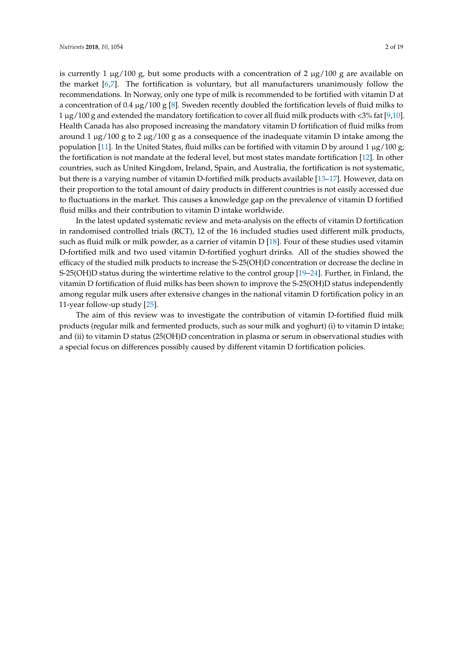is currently 1  $\mu$ g/100 g, but some products with a concentration of 2  $\mu$ g/100 g are available on the market [\[6,](#page-15-4)[7\]](#page-15-6). The fortification is voluntary, but all manufacturers unanimously follow the recommendations. In Norway, only one type of milk is recommended to be fortified with vitamin D at a concentration of 0.4  $\mu$ g/100 g [\[8\]](#page-15-7). Sweden recently doubled the fortification levels of fluid milks to 1 µg/100 g and extended the mandatory fortification to cover all fluid milk products with <3% fat [\[9](#page-15-8)[,10\]](#page-15-9). Health Canada has also proposed increasing the mandatory vitamin D fortification of fluid milks from around 1  $\mu$ g/100 g to 2  $\mu$ g/100 g as a consequence of the inadequate vitamin D intake among the population [\[11\]](#page-15-10). In the United States, fluid milks can be fortified with vitamin D by around 1 µg/100 g; the fortification is not mandate at the federal level, but most states mandate fortification [\[12\]](#page-15-5). In other countries, such as United Kingdom, Ireland, Spain, and Australia, the fortification is not systematic, but there is a varying number of vitamin D-fortified milk products available [\[13–](#page-15-11)[17\]](#page-15-12). However, data on their proportion to the total amount of dairy products in different countries is not easily accessed due to fluctuations in the market. This causes a knowledge gap on the prevalence of vitamin D fortified fluid milks and their contribution to vitamin D intake worldwide.

In the latest updated systematic review and meta-analysis on the effects of vitamin D fortification in randomised controlled trials (RCT), 12 of the 16 included studies used different milk products, such as fluid milk or milk powder, as a carrier of vitamin D [\[18\]](#page-15-13). Four of these studies used vitamin D-fortified milk and two used vitamin D-fortified yoghurt drinks. All of the studies showed the efficacy of the studied milk products to increase the S-25(OH)D concentration or decrease the decline in S-25(OH)D status during the wintertime relative to the control group [\[19–](#page-16-0)[24\]](#page-16-1). Further, in Finland, the vitamin D fortification of fluid milks has been shown to improve the S-25(OH)D status independently among regular milk users after extensive changes in the national vitamin D fortification policy in an 11-year follow-up study [\[25\]](#page-16-2).

The aim of this review was to investigate the contribution of vitamin D-fortified fluid milk products (regular milk and fermented products, such as sour milk and yoghurt) (i) to vitamin D intake; and (ii) to vitamin D status (25(OH)D concentration in plasma or serum in observational studies with a special focus on differences possibly caused by different vitamin D fortification policies.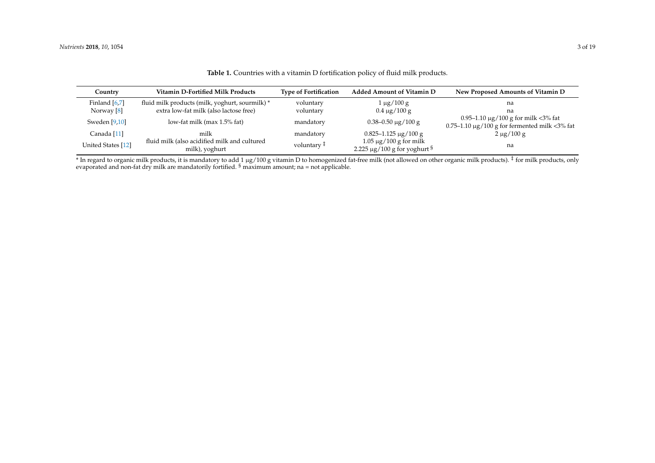| Country            | Vitamin D-Fortified Milk Products                                                         | <b>Type of Fortification</b> | <b>Added Amount of Vitamin D</b>                                               | New Proposed Amounts of Vitamin D                  |
|--------------------|-------------------------------------------------------------------------------------------|------------------------------|--------------------------------------------------------------------------------|----------------------------------------------------|
| Finland $[6,7]$    | fluid milk products (milk, yoghurt, sourmilk) *<br>extra low-fat milk (also lactose free) | voluntary                    | $1 \mu g / 100 g$                                                              | na                                                 |
| Norway $[8]$       |                                                                                           | voluntary                    | $0.4 \,\mathrm{\mu g} / 100 \,\mathrm{g}$                                      | na<br>0.95–1.10 $\mu$ g/100 g for milk <3% fat     |
| Sweden $[9,10]$    | low-fat milk (max 1.5% fat)                                                               | mandatory                    | $0.38 - 0.50 \mu g / 100 g$                                                    | $0.75-1.10 \mu g/100 g$ for fermented milk <3% fat |
| Canada [11]        | milk                                                                                      | mandatory                    | $0.825 - 1.125 \,\mu g / 100 \,g$                                              | $2 \mu g / 100 g$                                  |
| United States [12] | fluid milk (also acidified milk and cultured<br>milk), yoghurt                            | voluntary <sup>‡</sup>       | $1.05 \mu g / 100 g$ for milk<br>2.225 $\mu$ g/100 g for yoghurt $\frac{5}{7}$ | na                                                 |

**Table 1.** Countries with a vitamin D fortification policy of fluid milk products.

<span id="page-2-0"></span> $^*$  In regard to organic milk products, it is mandatory to add 1 µg/100 g vitamin D to homogenized fat-free milk (not allowed on other organic milk products).  $^\ddagger$  for milk products, only evaporated and non-fat dry milk are mandatorily fortified. <sup>§</sup> maximum amount; na = not applicable.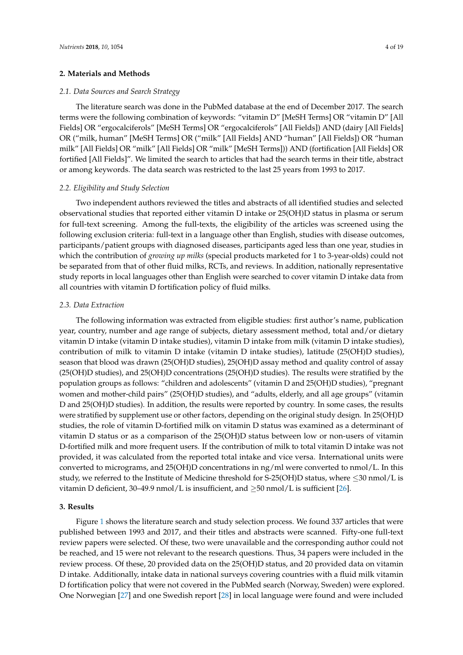## **2. Materials and Methods**

## *2.1. Data Sources and Search Strategy*

The literature search was done in the PubMed database at the end of December 2017. The search terms were the following combination of keywords: "vitamin D" [MeSH Terms] OR "vitamin D" [All Fields] OR "ergocalciferols" [MeSH Terms] OR "ergocalciferols" [All Fields]) AND (dairy [All Fields] OR ("milk, human" [MeSH Terms] OR ("milk" [All Fields] AND "human" [All Fields]) OR "human milk" [All Fields] OR "milk" [All Fields] OR "milk" [MeSH Terms])) AND (fortification [All Fields] OR fortified [All Fields]". We limited the search to articles that had the search terms in their title, abstract or among keywords. The data search was restricted to the last 25 years from 1993 to 2017.

## *2.2. Eligibility and Study Selection*

Two independent authors reviewed the titles and abstracts of all identified studies and selected observational studies that reported either vitamin D intake or 25(OH)D status in plasma or serum for full-text screening. Among the full-texts, the eligibility of the articles was screened using the following exclusion criteria: full-text in a language other than English, studies with disease outcomes, participants/patient groups with diagnosed diseases, participants aged less than one year, studies in which the contribution of *growing up milks* (special products marketed for 1 to 3-year-olds) could not be separated from that of other fluid milks, RCTs, and reviews. In addition, nationally representative study reports in local languages other than English were searched to cover vitamin D intake data from all countries with vitamin D fortification policy of fluid milks.

#### *2.3. Data Extraction*

The following information was extracted from eligible studies: first author's name, publication year, country, number and age range of subjects, dietary assessment method, total and/or dietary vitamin D intake (vitamin D intake studies), vitamin D intake from milk (vitamin D intake studies), contribution of milk to vitamin D intake (vitamin D intake studies), latitude (25(OH)D studies), season that blood was drawn (25(OH)D studies), 25(OH)D assay method and quality control of assay (25(OH)D studies), and 25(OH)D concentrations (25(OH)D studies). The results were stratified by the population groups as follows: "children and adolescents" (vitamin D and 25(OH)D studies), "pregnant women and mother-child pairs" (25(OH)D studies), and "adults, elderly, and all age groups" (vitamin D and 25(OH)D studies). In addition, the results were reported by country. In some cases, the results were stratified by supplement use or other factors, depending on the original study design. In 25(OH)D studies, the role of vitamin D-fortified milk on vitamin D status was examined as a determinant of vitamin D status or as a comparison of the 25(OH)D status between low or non-users of vitamin D-fortified milk and more frequent users. If the contribution of milk to total vitamin D intake was not provided, it was calculated from the reported total intake and vice versa. International units were converted to micrograms, and 25(OH)D concentrations in ng/ml were converted to nmol/L. In this study, we referred to the Institute of Medicine threshold for S-25(OH)D status, where ≤30 nmol/L is vitamin D deficient, 30–49.9 nmol/L is insufficient, and  $\geq$ 50 nmol/L is sufficient [\[26\]](#page-16-3).

## **3. Results**

Figure [1](#page-4-0) shows the literature search and study selection process. We found 337 articles that were published between 1993 and 2017, and their titles and abstracts were scanned. Fifty-one full-text review papers were selected. Of these, two were unavailable and the corresponding author could not be reached, and 15 were not relevant to the research questions. Thus, 34 papers were included in the review process. Of these, 20 provided data on the 25(OH)D status, and 20 provided data on vitamin D intake. Additionally, intake data in national surveys covering countries with a fluid milk vitamin D fortification policy that were not covered in the PubMed search (Norway, Sweden) were explored. One Norwegian [\[27\]](#page-16-4) and one Swedish report [\[28\]](#page-16-5) in local language were found and were included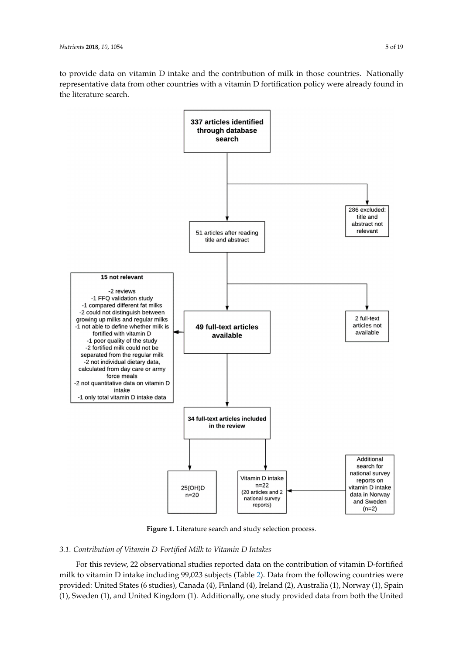to provide data on vitamin D intake and the contribution of milk in those countries. Nationally representative data from other countries with a vitamin D fortification policy were already found in representative data from other countries with a vitamin D fortification policy were already found in the literature search. the literature search.

<span id="page-4-0"></span>

**Figure 1.** Literature search and study selection process. **Figure 1.** Literature search and study selection process.

# *3.1. Contribution of Vitamin D-Fortified Milk to Vitamin D Intakes 3.1. Contribution of Vitamin D-Fortified Milk to Vitamin D Intakes*

For this review, 22 observational studies reported data on the contribution of vitamin D-fortified For this review, 22 observational studies reported data on the contribution of vitamin D-fortified milk to vitamin D intake including 99,023 subjects (Table 2). Data from the following countries were milk to vitamin D intake including 99,023 subjects (Table [2\)](#page-8-0). Data from the following countries were provided: United States (6 studies), Canada (4), Finland (4), Ireland (2), Australia (1), Norway (1), provided: United States (6 studies), Canada (4), Finland (4), Ireland (2), Australia (1), Norway (1), Spain Spain (1), Sweden (1), and United Kingdom (1). Additionally, one study provided data from both the (1), Sweden (1), and United Kingdom (1). Additionally, one study provided data from both the United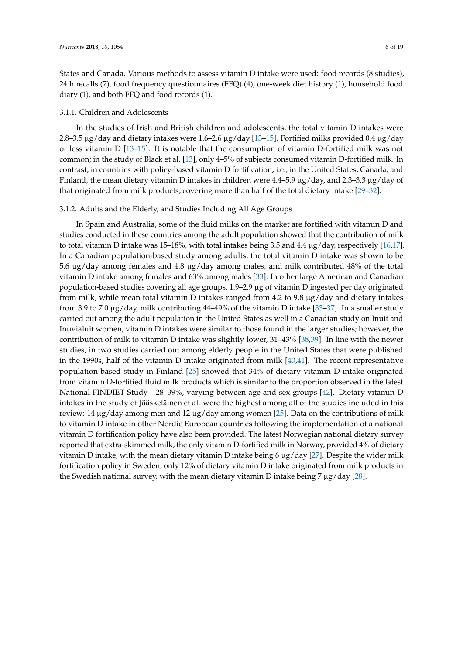States and Canada. Various methods to assess vitamin D intake were used: food records (8 studies), 24 h recalls (7), food frequency questionnaires (FFQ) (4), one-week diet history (1), household food diary (1), and both FFQ and food records (1).

### 3.1.1. Children and Adolescents

In the studies of Irish and British children and adolescents, the total vitamin D intakes were 2.8–3.5 µg/day and dietary intakes were 1.6–2.6 µg/day [\[13](#page-15-11)[–15\]](#page-15-21). Fortified milks provided 0.4 µg/day or less vitamin D [\[13](#page-15-11)[–15\]](#page-15-21). It is notable that the consumption of vitamin D-fortified milk was not common; in the study of Black et al. [\[13\]](#page-15-11), only 4–5% of subjects consumed vitamin D-fortified milk. In contrast, in countries with policy-based vitamin D fortification, i.e., in the United States, Canada, and Finland, the mean dietary vitamin D intakes in children were 4.4–5.9  $\mu$ g/day, and 2.3–3.3  $\mu$ g/day of that originated from milk products, covering more than half of the total dietary intake [\[29–](#page-16-6)[32\]](#page-16-7).

## 3.1.2. Adults and the Elderly, and Studies Including All Age Groups

In Spain and Australia, some of the fluid milks on the market are fortified with vitamin D and studies conducted in these countries among the adult population showed that the contribution of milk to total vitamin D intake was 15–18%, with total intakes being 3.5 and 4.4  $\mu$ g/day, respectively [\[16](#page-15-22)[,17\]](#page-15-12). In a Canadian population-based study among adults, the total vitamin D intake was shown to be 5.6 µg/day among females and 4.8 µg/day among males, and milk contributed 48% of the total vitamin D intake among females and 63% among males [\[33\]](#page-16-8). In other large American and Canadian population-based studies covering all age groups, 1.9–2.9 µg of vitamin D ingested per day originated from milk, while mean total vitamin D intakes ranged from 4.2 to 9.8 µg/day and dietary intakes from 3.9 to 7.0  $\mu$ g/day, milk contributing 44–49% of the vitamin D intake [\[33](#page-16-8)[–37\]](#page-17-0). In a smaller study carried out among the adult population in the United States as well in a Canadian study on Inuit and Inuvialuit women, vitamin D intakes were similar to those found in the larger studies; however, the contribution of milk to vitamin D intake was slightly lower, 31–43% [\[38,](#page-17-1)[39\]](#page-17-2). In line with the newer studies, in two studies carried out among elderly people in the United States that were published in the 1990s, half of the vitamin D intake originated from milk [\[40](#page-17-3)[,41\]](#page-17-4). The recent representative population-based study in Finland [\[25\]](#page-16-2) showed that 34% of dietary vitamin D intake originated from vitamin D-fortified fluid milk products which is similar to the proportion observed in the latest National FINDIET Study—28–39%, varying between age and sex groups [\[42\]](#page-17-5). Dietary vitamin D intakes in the study of Jääskeläinen et al. were the highest among all of the studies included in this review: 14  $\mu$ g/day among men and 12  $\mu$ g/day among women [\[25\]](#page-16-2). Data on the contributions of milk to vitamin D intake in other Nordic European countries following the implementation of a national vitamin D fortification policy have also been provided. The latest Norwegian national dietary survey reported that extra-skimmed milk, the only vitamin D-fortified milk in Norway, provided 4% of dietary vitamin D intake, with the mean dietary vitamin D intake being  $6 \mu g/day$  [\[27\]](#page-16-4). Despite the wider milk fortification policy in Sweden, only 12% of dietary vitamin D intake originated from milk products in the Swedish national survey, with the mean dietary vitamin D intake being 7  $\mu$ g/day [\[28\]](#page-16-5).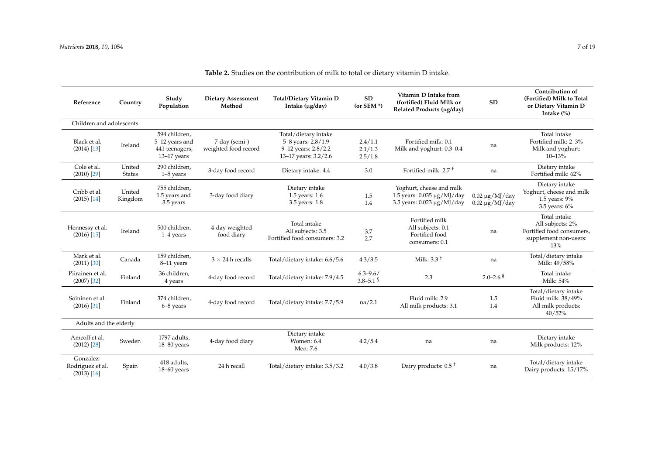| Reference                                      | Country                 | Study<br>Population                                                | <b>Dietary Assessment</b><br>Method   | Total/Dietary Vitamin D<br>Intake (µg/day)                                                | <b>SD</b><br>(or SEM $*$ )     | Vitamin D Intake from<br>(fortified) Fluid Milk or<br>Related Products (ug/day)           | <b>SD</b>                                    | Contribution of<br>(Fortified) Milk to Total<br>or Dietary Vitamin D<br>Intake $(\%)$         |
|------------------------------------------------|-------------------------|--------------------------------------------------------------------|---------------------------------------|-------------------------------------------------------------------------------------------|--------------------------------|-------------------------------------------------------------------------------------------|----------------------------------------------|-----------------------------------------------------------------------------------------------|
| Children and adolescents                       |                         |                                                                    |                                       |                                                                                           |                                |                                                                                           |                                              |                                                                                               |
| Black et al.<br>$(2014)$ [13]                  | Ireland                 | 594 children,<br>5-12 years and<br>441 teenagers,<br>$13-17$ years | 7-day (semi-)<br>weighted food record | Total/dietary intake<br>5-8 years: 2.8/1.9<br>9-12 years: 2.8/2.2<br>13-17 years: 3.2/2.6 | 2.4/1.1<br>2.1/1.3<br>2.5/1.8  | Fortified milk: 0.1<br>Milk and yoghurt: 0.3-0.4                                          | na                                           | Total intake<br>Fortified milk: 2-3%<br>Milk and yoghurt:<br>$10 - 13%$                       |
| Cole et al.<br>$(2010)$ [29]                   | United<br><b>States</b> | 290 children,<br>$1-5$ years                                       | 3-day food record                     | Dietary intake: 4.4                                                                       | 3.0                            | Fortified milk: $2.7+$                                                                    | na                                           | Dietary intake<br>Fortified milk: 62%                                                         |
| Cribb et al.<br>$(2015)$ [14]                  | United<br>Kingdom       | 755 children.<br>1.5 years and<br>3.5 years                        | 3-day food diary                      | Dietary intake<br>1.5 years: 1.6<br>3.5 years: 1.8                                        | 1.5<br>1.4                     | Yoghurt, cheese and milk<br>1.5 years: $0.035 \mu g/MJ/day$<br>3.5 years: 0.023 µg/MJ/day | $0.02 \ \mu g/MJ/day$<br>$0.02 \mu g/MJ/day$ | Dietary intake<br>Yoghurt, cheese and milk<br>1.5 years: 9%<br>3.5 years: 6%                  |
| Hennessy et al.<br>$(2016)$ [15]               | Ireland                 | 500 children,<br>$1-4$ years                                       | 4-day weighted<br>food diary          | Total intake<br>All subjects: 3.5<br>Fortified food consumers: 3.2                        | 3.7<br>2.7                     | Fortified milk<br>All subjects: 0.1<br>Fortified food<br>consumers: 0.1                   | na                                           | Total intake<br>All subjects: 2%<br>Fortified food consumers,<br>supplement non-users:<br>13% |
| Mark et al.<br>$(2011)$ $[30]$                 | Canada                  | 159 children,<br>8-11 years                                        | $3 \times 24$ h recalls               | Total/dietary intake: 6.6/5.6                                                             | 4.3/3.5                        | Milk: $3.3+$                                                                              | na                                           | Total/dietary intake<br>Milk: 49/58%                                                          |
| Piirainen et al.<br>$(2007)$ [32]              | Finland                 | 36 children,<br>4 years                                            | 4-day food record                     | Total/dietary intake: 7.9/4.5                                                             | $6.3 - 9.6/$<br>$3.8 - 5.1$ \$ | 2.3                                                                                       | $2.0 - 2.6$ <sup>§</sup>                     | Total intake<br>Milk: 54%                                                                     |
| Soininen et al.<br>$(2016)$ [31]               | Finland                 | 374 children,<br>6-8 years                                         | 4-day food record                     | Total/dietary intake: 7.7/5.9                                                             | na/2.1                         | Fluid milk: 2.9<br>All milk products: 3.1                                                 | 1.5<br>1.4                                   | Total/dietary intake<br>Fluid milk: 38/49%<br>All milk products:<br>40/52%                    |
| Adults and the elderly                         |                         |                                                                    |                                       |                                                                                           |                                |                                                                                           |                                              |                                                                                               |
| Amcoff et al.<br>$(2012)$ $[28]$               | Sweden                  | 1797 adults,<br>18-80 years                                        | 4-day food diary                      | Dietary intake<br>Women: 6.4<br>Men: 7.6                                                  | 4.2/5.4                        | na                                                                                        | na                                           | Dietary intake<br>Milk products: 12%                                                          |
| Gonzalez-<br>Rodriguez et al.<br>$(2013)$ [16] | Spain                   | 418 adults,<br>$18-60$ years                                       | 24 h recall                           | Total/dietary intake: 3.5/3.2                                                             | 4.0/3.8                        | Dairy products: 0.5 <sup>+</sup>                                                          | na                                           | Total/dietary intake<br>Dairy products: 15/17%                                                |

**Table 2.** Studies on the contribution of milk to total or dietary vitamin D intake.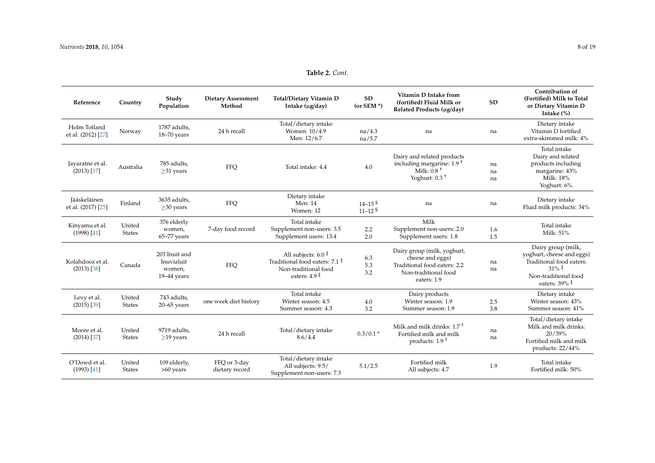**Reference Country Study Population**

| <b>Dietary Assessment</b><br>Method | <b>Total/Dietary Vitamin D</b><br>Intake (µg/day)    | SD<br>$(or$ SEM $*)$     | Vitamin D Intake from<br>(fortified) Fluid Milk or<br>Related Products (µg/day)              | SD             | Contribution of<br>(Fortified) Milk to Total<br>or Dietary Vitamin D<br>Intake $(\%)$                 |
|-------------------------------------|------------------------------------------------------|--------------------------|----------------------------------------------------------------------------------------------|----------------|-------------------------------------------------------------------------------------------------------|
| 24 h recall                         | Total/dietary intake<br>Women: 10/4.9<br>Men: 12/6.7 | na/4.3<br>na/5.7         | na                                                                                           | na             | Dietary intake<br>Vitamin D fortified<br>extra-skimmed milk: 4%                                       |
| FFQ                                 | Total intake: 4.4                                    | 4.0                      | Dairy and related products<br>including margarine: $1.9†$<br>Milk: $0.8+$<br>Yoghurt: $0.3+$ | na<br>na<br>na | Total intake<br>Dairy and related<br>products including<br>margarine: 43%<br>Milk: 18%<br>Yoghurt: 6% |
| <b>FFQ</b>                          | Dietary intake<br>Men: 14<br>$M_{\rm omon}$ . 12     | $14 - 15^{5}$<br>11, 128 | na                                                                                           | na             | Dietary intake<br>Fluid milk products: 34%                                                            |

## **Table 2.** *Cont.*

| Holm Totland<br>et al. (2012) [27] | Norway                  | 1787 adults,<br>$18 - 70$ years                        | 24 h recall                    | Total/dietary intake<br>Women: 10/4.9<br>Men: 12/6.7                                                                                       | na/4.3<br>na/5.7                                 | na                                                                                                                     | na             | Dietary intake<br>Vitamin D fortified<br>extra-skimmed milk: 4%                                                                                                               |
|------------------------------------|-------------------------|--------------------------------------------------------|--------------------------------|--------------------------------------------------------------------------------------------------------------------------------------------|--------------------------------------------------|------------------------------------------------------------------------------------------------------------------------|----------------|-------------------------------------------------------------------------------------------------------------------------------------------------------------------------------|
| Jayaratne et al.<br>$(2013)$ [17]  | Australia               | 785 adults,<br>$\geq$ 31 years                         | <b>FFQ</b>                     | Total intake: 4.4                                                                                                                          | 4.0                                              | Dairy and related products<br>including margarine: 1.9 <sup>+</sup><br>Milk: $0.8+$<br>Yoghurt: $0.3+$                 | na<br>na<br>na | Total intake<br>Dairy and related<br>products including<br>margarine: 43%<br>Milk: 18%<br>Yoghurt: 6%                                                                         |
| Jääskeläinen<br>et al. (2017) [25] | Finland                 | 3635 adults,<br>$\geq$ 30 years                        | FFQ                            | Dietary intake<br>Men: 14<br>Women: 12                                                                                                     | $14 - 15$ <sup>§</sup><br>$11 - 12$ <sup>§</sup> | na                                                                                                                     | na             | Dietary intake<br>Fluid milk products: 34%                                                                                                                                    |
| Kinyamu et al.<br>$(1998)$ [41]    | United<br><b>States</b> | 376 elderly<br>women,<br>$65 - 77$ years               | 7-day food record              | Total intake<br>Supplement non-users: 3.5<br>Supplement users: 13.4                                                                        | 2.2<br>2.0                                       | Milk<br>Supplement non-users: 2.0<br>Supplement users: 1.8                                                             | 1.6<br>1.5     | Total intake<br>Milk: 51%                                                                                                                                                     |
| Kolahdooz et al.<br>$(2013)$ [38]  | Canada                  | 203 Inuit and<br>Inuvialuit<br>women,<br>$19-44$ years | FFQ                            | All subjects: $6.0 \text{ }^{\ddagger}$<br>Traditional food eaters: $7.1 \text{ }^{\ddagger}$<br>Non-traditional food<br>eaters: $4.9 \pm$ | 6.3<br>5.3<br>3.2                                | Dairy group (milk, yoghurt,<br>cheese and eggs)<br>Traditional food eaters: 2.2<br>Non-traditional food<br>eaters: 1.9 | na<br>na       | Dairy group (milk,<br>yoghurt, cheese and eggs)<br>Traditional food eaters:<br>$31\%$ <sup>‡</sup><br>Non-traditional food<br>eaters: $39\%$ <sup><math>\ddagger</math></sup> |
| Levy et al.<br>$(2015)$ [39]       | United<br><b>States</b> | 743 adults,<br>$20 - 65$ years                         | one week diet history          | Total intake<br>Winter season: 4.5<br>Summer season: 4.3                                                                                   | 4.0<br>3.2                                       | Dairy products<br>Winter season: 1.9<br>Summer season: 1.9                                                             | 2.5<br>3.8     | Dietary intake<br>Winter season: 43%<br>Summer season: 41%                                                                                                                    |
| Moore et al.<br>$(2014)$ [37]      | United<br><b>States</b> | 9719 adults,<br>$\geq$ 19 years                        | 24 h recall                    | Total/dietary intake<br>8.6/4.4                                                                                                            | $0.3/0.1*$                                       | Milk and milk drinks: $1.7+$<br>Fortified milk and milk<br>products: $1.9+$                                            | na<br>na       | Total/dietary intake<br>Milk and milk drinks:<br>20/39%<br>Fortified milk and milk<br>products: $22/44%$                                                                      |
| O'Dowd et al.<br>$(1993)$ [41]     | United<br><b>States</b> | 109 elderly,<br>$>60$ years                            | FFQ or 3-day<br>dietary record | Total/dietary intake<br>All subjects: 9.5/<br>Supplement non-users: 7.3                                                                    | 5.1/2.5                                          | Fortified milk<br>All subjects: 4.7                                                                                    | 1.9            | Total intake<br>Fortified milk: 50%                                                                                                                                           |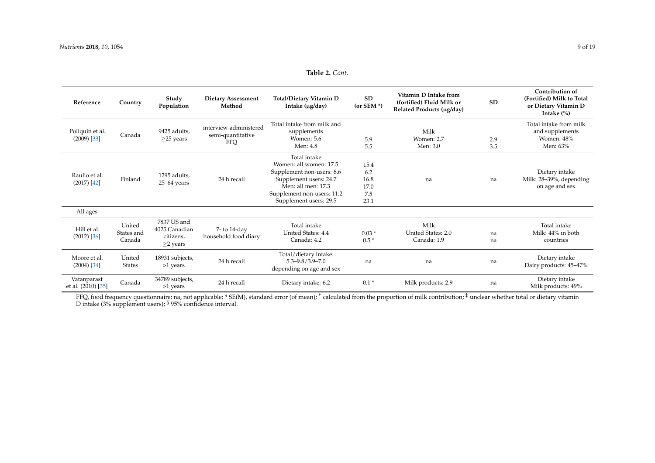**Table 2.** *Cont.*

| Reference                         | Country                        | Study<br>Population                                         | <b>Dietary Assessment</b><br>Method                | Total/Dietary Vitamin D<br>Intake (µg/day)                                                                                                                                  | <b>SD</b><br>(or SEM $*$ )                 | Vitamin D Intake from<br>(fortified) Fluid Milk or<br>Related Products (µg/day) | <b>SD</b>  | Contribution of<br>(Fortified) Milk to Total<br>or Dietary Vitamin D<br>Intake $(\%)$ |
|-----------------------------------|--------------------------------|-------------------------------------------------------------|----------------------------------------------------|-----------------------------------------------------------------------------------------------------------------------------------------------------------------------------|--------------------------------------------|---------------------------------------------------------------------------------|------------|---------------------------------------------------------------------------------------|
| Poliquin et al.<br>$(2009)$ [33]  | Canada                         | 9425 adults,<br>$\geq$ 25 years                             | interview-administered<br>semi-quantitative<br>FFQ | Total intake from milk and<br>supplements<br>Women: 5.6<br>Men: 4.8                                                                                                         | 5.9<br>5.5                                 | Milk<br>Women: 2.7<br>Men: 3.0                                                  | 2.9<br>3.5 | Total intake from milk<br>and supplements<br>Women: 48%<br>Men: 63%                   |
| Raulio et al.<br>$(2017)$ [42]    | Finland                        | 1295 adults.<br>$25-64$ years                               | 24 h recall                                        | Total intake<br>Women: all women: 17.5<br>Supplement non-users: 8.6<br>Supplement users: 24.7<br>Men: all men: 17.3<br>Supplement non-users: 11.2<br>Supplement users: 29.5 | 15.4<br>6.2<br>16.8<br>17.0<br>7.5<br>23.1 | na                                                                              | na         | Dietary intake<br>Milk: 28-39%, depending<br>on age and sex                           |
| All ages                          |                                |                                                             |                                                    |                                                                                                                                                                             |                                            |                                                                                 |            |                                                                                       |
| Hill et al.<br>$(2012)$ [36]      | United<br>States and<br>Canada | 7837 US and<br>4025 Canadian<br>citizens,<br>$\geq$ 2 years | 7- to 14-day<br>household food diary               | Total intake<br>United States: 4.4<br>Canada: 4.2                                                                                                                           | $0.03*$<br>$0.5*$                          | Milk<br>United States: 2.0<br>Canada: 1.9                                       | na<br>na   | Total intake<br>Milk: 44% in both<br>countries                                        |
| Moore et al.<br>$(2004)$ [34]     | United<br><b>States</b>        | 18931 subjects,<br>>1 years                                 | 24 h recall                                        | Total/dietary intake:<br>$5.3 - 9.8 / 3.9 - 7.0$<br>depending on age and sex                                                                                                | na                                         | na                                                                              | na         | Dietary intake<br>Dairy products: 45-47%                                              |
| Vatanparast<br>et al. (2010) [35] | Canada                         | 34789 subjects,<br>>1 years                                 | 24 h recall                                        | Dietary intake: 6.2                                                                                                                                                         | $0.1*$                                     | Milk products: 2.9                                                              | na         | Dietary intake<br>Milk products: 49%                                                  |

<span id="page-8-0"></span>FFQ, food frequency questionnaire; na, not applicable; \* SE(M), standard error (of mean); <sup>†</sup> calculated from the proportion of milk contribution; <sup>‡</sup> unclear whether total or dietary vitamin D intake (3% supplement users); <sup>§</sup> 95% confidence interval.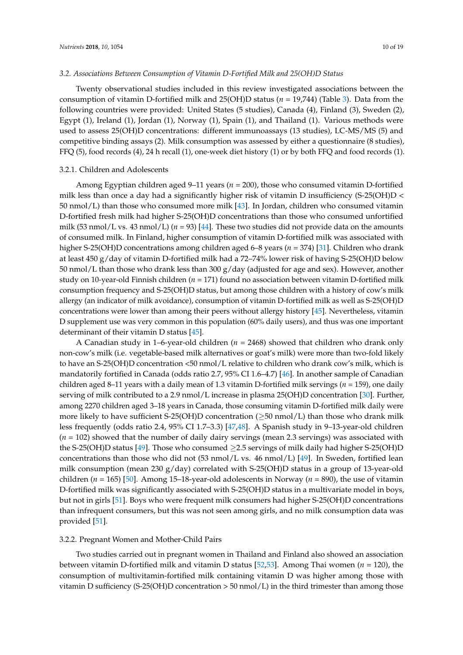#### *3.2. Associations Between Consumption of Vitamin D-Fortified Milk and 25(OH)D Status*

Twenty observational studies included in this review investigated associations between the consumption of vitamin D-fortified milk and 25(OH)D status (*n* = 19,744) (Table [3\)](#page-12-0). Data from the following countries were provided: United States (5 studies), Canada (4), Finland (3), Sweden (2), Egypt (1), Ireland (1), Jordan (1), Norway (1), Spain (1), and Thailand (1). Various methods were used to assess 25(OH)D concentrations: different immunoassays (13 studies), LC-MS/MS (5) and competitive binding assays (2). Milk consumption was assessed by either a questionnaire (8 studies), FFQ (5), food records (4), 24 h recall (1), one-week diet history (1) or by both FFQ and food records (1).

#### 3.2.1. Children and Adolescents

Among Egyptian children aged 9–11 years (*n* = 200), those who consumed vitamin D-fortified milk less than once a day had a significantly higher risk of vitamin D insufficiency (S-25(OH)D < 50 nmol/L) than those who consumed more milk [\[43\]](#page-17-13). In Jordan, children who consumed vitamin D-fortified fresh milk had higher S-25(OH)D concentrations than those who consumed unfortified milk (53 nmol/L vs. 43 nmol/L)  $(n = 93)$  [\[44\]](#page-17-14). These two studies did not provide data on the amounts of consumed milk. In Finland, higher consumption of vitamin D-fortified milk was associated with higher S-25(OH)D concentrations among children aged 6–8 years (*n* = 374) [\[31\]](#page-16-17). Children who drank at least 450 g/day of vitamin D-fortified milk had a 72–74% lower risk of having S-25(OH)D below 50 nmol/L than those who drank less than 300  $g$ /day (adjusted for age and sex). However, another study on 10-year-old Finnish children (*n* = 171) found no association between vitamin D-fortified milk consumption frequency and S-25(OH)D status, but among those children with a history of cow's milk allergy (an indicator of milk avoidance), consumption of vitamin D-fortified milk as well as S-25(OH)D concentrations were lower than among their peers without allergy history [\[45\]](#page-17-15). Nevertheless, vitamin D supplement use was very common in this population (60% daily users), and thus was one important determinant of their vitamin D status [\[45\]](#page-17-15).

A Canadian study in 1–6-year-old children (*n* = 2468) showed that children who drank only non-cow's milk (i.e. vegetable-based milk alternatives or goat's milk) were more than two-fold likely to have an S-25(OH)D concentration <50 nmol/L relative to children who drank cow's milk, which is mandatorily fortified in Canada (odds ratio 2.7, 95% CI 1.6–4.7) [\[46\]](#page-17-16). In another sample of Canadian children aged 8–11 years with a daily mean of 1.3 vitamin D-fortified milk servings (*n* = 159), one daily serving of milk contributed to a 2.9 nmol/L increase in plasma 25(OH)D concentration [\[30\]](#page-16-18). Further, among 2270 children aged 3–18 years in Canada, those consuming vitamin D-fortified milk daily were more likely to have sufficient S-25(OH)D concentration ( $\geq$ 50 nmol/L) than those who drank milk less frequently (odds ratio 2.4, 95% CI 1.7–3.3) [\[47,](#page-17-17)[48\]](#page-17-18). A Spanish study in 9–13-year-old children (*n* = 102) showed that the number of daily dairy servings (mean 2.3 servings) was associated with the S-25(OH)D status [\[49\]](#page-17-19). Those who consumed  $\geq$  2.5 servings of milk daily had higher S-25(OH)D concentrations than those who did not  $(53 \text{ nmol/L vs. } 46 \text{ nmol/L})$  [\[49\]](#page-17-19). In Sweden, fortified lean milk consumption (mean 230  $g/day$ ) correlated with S-25(OH)D status in a group of 13-year-old children (*n* = 165) [\[50\]](#page-17-20). Among 15–18-year-old adolescents in Norway (*n* = 890), the use of vitamin D-fortified milk was significantly associated with S-25(OH)D status in a multivariate model in boys, but not in girls [\[51\]](#page-17-21). Boys who were frequent milk consumers had higher S-25(OH)D concentrations than infrequent consumers, but this was not seen among girls, and no milk consumption data was provided [\[51\]](#page-17-21).

## 3.2.2. Pregnant Women and Mother-Child Pairs

Two studies carried out in pregnant women in Thailand and Finland also showed an association between vitamin D-fortified milk and vitamin D status [\[52](#page-17-22)[,53\]](#page-18-0). Among Thai women (*n* = 120), the consumption of multivitamin-fortified milk containing vitamin D was higher among those with vitamin D sufficiency (S-25(OH)D concentration  $> 50$  nmol/L) in the third trimester than among those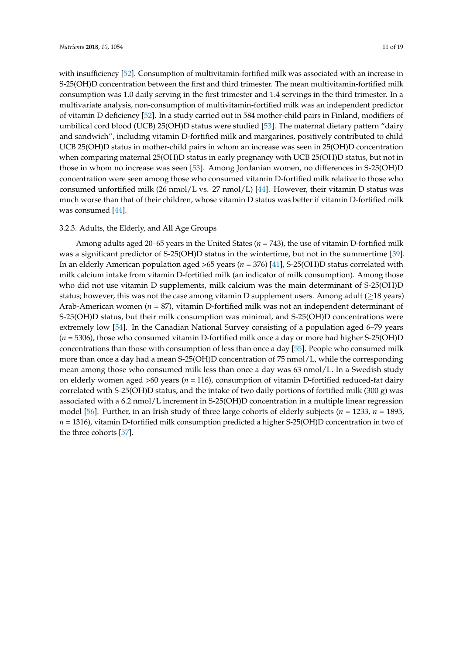with insufficiency [\[52\]](#page-17-22). Consumption of multivitamin-fortified milk was associated with an increase in S-25(OH)D concentration between the first and third trimester. The mean multivitamin-fortified milk consumption was 1.0 daily serving in the first trimester and 1.4 servings in the third trimester. In a multivariate analysis, non-consumption of multivitamin-fortified milk was an independent predictor of vitamin D deficiency [\[52\]](#page-17-22). In a study carried out in 584 mother-child pairs in Finland, modifiers of umbilical cord blood (UCB) 25(OH)D status were studied [\[53\]](#page-18-0). The maternal dietary pattern "dairy and sandwich", including vitamin D-fortified milk and margarines, positively contributed to child UCB 25(OH)D status in mother-child pairs in whom an increase was seen in 25(OH)D concentration when comparing maternal 25(OH)D status in early pregnancy with UCB 25(OH)D status, but not in those in whom no increase was seen [\[53\]](#page-18-0). Among Jordanian women, no differences in S-25(OH)D concentration were seen among those who consumed vitamin D-fortified milk relative to those who consumed unfortified milk (26 nmol/L vs. 27 nmol/L) [\[44\]](#page-17-14). However, their vitamin D status was much worse than that of their children, whose vitamin D status was better if vitamin D-fortified milk was consumed [\[44\]](#page-17-14).

## 3.2.3. Adults, the Elderly, and All Age Groups

Among adults aged 20–65 years in the United States (*n* = 743), the use of vitamin D-fortified milk was a significant predictor of S-25(OH)D status in the wintertime, but not in the summertime [\[39\]](#page-17-2). In an elderly American population aged >65 years (*n* = 376) [\[41\]](#page-17-4), S-25(OH)D status correlated with milk calcium intake from vitamin D-fortified milk (an indicator of milk consumption). Among those who did not use vitamin D supplements, milk calcium was the main determinant of S-25(OH)D status; however, this was not the case among vitamin D supplement users. Among adult  $(≥18$  years) Arab-American women (*n* = 87), vitamin D-fortified milk was not an independent determinant of S-25(OH)D status, but their milk consumption was minimal, and S-25(OH)D concentrations were extremely low [\[54\]](#page-18-1). In the Canadian National Survey consisting of a population aged 6–79 years (*n* = 5306), those who consumed vitamin D-fortified milk once a day or more had higher S-25(OH)D concentrations than those with consumption of less than once a day [\[55\]](#page-18-2). People who consumed milk more than once a day had a mean S-25(OH)D concentration of 75 nmol/L, while the corresponding mean among those who consumed milk less than once a day was 63 nmol/L. In a Swedish study on elderly women aged >60 years (*n* = 116), consumption of vitamin D-fortified reduced-fat dairy correlated with S-25(OH)D status, and the intake of two daily portions of fortified milk (300 g) was associated with a 6.2 nmol/L increment in S-25(OH)D concentration in a multiple linear regression model [\[56\]](#page-18-3). Further, in an Irish study of three large cohorts of elderly subjects (*n* = 1233, *n* = 1895, *n* = 1316), vitamin D-fortified milk consumption predicted a higher S-25(OH)D concentration in two of the three cohorts [\[57\]](#page-18-4).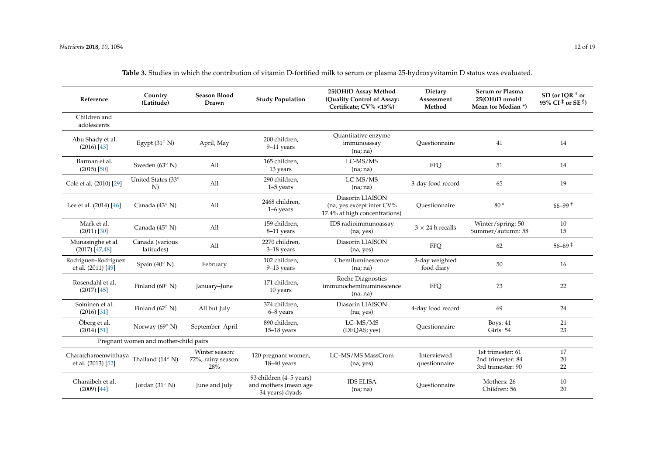et al. (2013) [\[52\]](#page-17-15)

Gharaibeh et al. (2009) [\[44\]](#page-17-31)

72%, rainy season: 28%

Jordan (31◦ N) June and July

18–40 years

93 children (4–5 years) and mothers (mean age 34 years) dyads

| Reference                                        | Country<br>(Latitude)                 | <b>Season Blood</b><br>Drawn         | <b>Study Population</b>              | 25(OH)D Assay Method<br>(Quality Control of Assay:<br>Certificate; CV% <15%)   | Dietary<br>Assessment<br>Method | Serum or Plasma<br>25(OH)D nmol/L<br>Mean (or Median *) | SD (or IOR $+$ or<br>95% CI <sup><math>\pm</math></sup> or SE <sup>§</sup> ) |
|--------------------------------------------------|---------------------------------------|--------------------------------------|--------------------------------------|--------------------------------------------------------------------------------|---------------------------------|---------------------------------------------------------|------------------------------------------------------------------------------|
| Children and<br>adolescents                      |                                       |                                      |                                      |                                                                                |                                 |                                                         |                                                                              |
| Abu Shady et al.<br>$(2016)$ [43]                | Egypt $(31^{\circ} N)$                | April, May                           | 200 children,<br>9-11 years          | Quantitative enzyme<br>immunoassay<br>(na; na)                                 | Ouestionnaire                   | 41                                                      | 14                                                                           |
| Barman et al.<br>$(2015)$ [50]                   | Sweden $(63^{\circ} N)$               | All                                  | 165 children,<br>13 years            | LC-MS/MS<br>(na; na)                                                           | <b>FFQ</b>                      | 51                                                      | 14                                                                           |
| Cole et al. (2010) [29]                          | United States (33°<br>N               | All                                  | 290 children,<br>$1-5$ years         | LC-MS/MS<br>(na; na)                                                           | 3-day food record               | 65                                                      | 19                                                                           |
| Lee et al. (2014) [46]                           | Canada (43° N)                        | All                                  | 2468 children,<br>$1-6$ years        | Diasorin LIAISON<br>(na; yes except inter CV%<br>17.4% at high concentrations) | Questionnaire                   | $80*$                                                   | $66 - 99$ <sup>+</sup>                                                       |
| Mark et al.<br>$(2011)$ $[30]$                   | Canada (45° N)                        | All                                  | 159 children,<br>8-11 years          | IDS radioimmunoassay<br>(na; yes)                                              | $3 \times 24$ h recalls         | Winter/spring: 50<br>Summer/autumn: 58                  | 10<br>15                                                                     |
| Munasinghe et al.<br>$(2017)$ [47,48]            | Canada (various<br>latitudes)         | All                                  | 2270 children.<br>$3-18$ years       | Diasorin LIAISON<br>(na; yes)                                                  | <b>FFQ</b>                      | 62                                                      | $56 - 69 \pm$                                                                |
| Rodríguez-Rodríguez<br>et al. (2011) [49]        | Spain $(40^{\circ} N)$                | February                             | 102 children,<br>$9-13$ years        | Chemiluminescence<br>(na; na)                                                  | 3-day weighted<br>food diary    | 50                                                      | 16                                                                           |
| Rosendahl et al.<br>$(2017)$ [45]                | Finland $(60^{\circ} N)$              | January-June                         | 171 children,<br>10 years            | Roche Diagnostics<br>immunocheminuminescence<br>(na; na)                       | <b>FFQ</b>                      | 73                                                      | 22                                                                           |
| Soininen et al.<br>$(2016)$ [31]                 | Finland $(62^{\circ} N)$              | All but July                         | 374 children.<br>6-8 years           | Diasorin LIAISON<br>(na; yes)                                                  | 4-day food record               | 69                                                      | 24                                                                           |
| Öberg et al.<br>$(2014)$ [51]                    | Norway $(69^{\circ} N)$               | September-April                      | 890 children.<br>$15-18$ years       | LC-MS/MS<br>(DEQAS; yes)                                                       | Ouestionnaire                   | Boys: 41<br>Girls: 54                                   | 21<br>23                                                                     |
|                                                  | Pregnant women and mother-child pairs |                                      |                                      |                                                                                |                                 |                                                         |                                                                              |
| Charatcharoenwitthaya Thailand (14 $^{\circ}$ N) |                                       | Winter season:<br>72%, rainy season: | 120 pregnant women,<br>$18.40$ voors | LC-MS/MS MassCrom<br>$(n_2, n_2)$                                              | Interviewed<br>questionnaire    | 1st trimester: 61<br>2nd trimester: 84                  | 17<br>20                                                                     |

(na; yes)

IDS ELISA<br>(na; na)

questionnaire

 $\begin{array}{ccc} \text{Mothers: } 26 \\ \text{Cbildown } & \end{array}$ 

2nd trimester: 84 3rd trimester: 90

Children: 56

20 22

10 20

**Table 3.** Studies in which the contribution of vitamin D-fortified milk to serum or plasma 25-hydroxyvitamin D status was evaluated.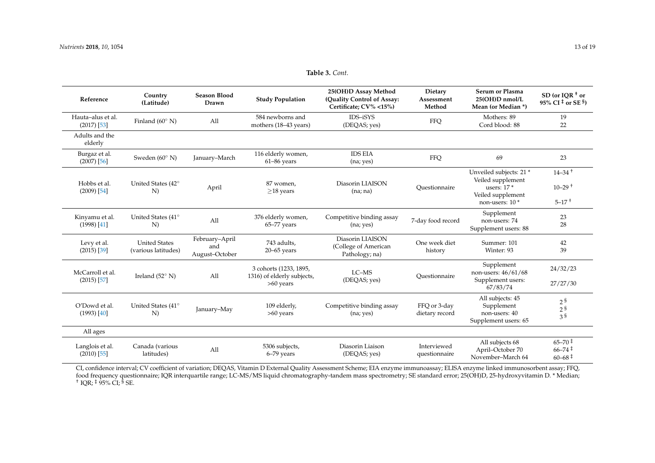| Table 3. Cont. |  |  |  |
|----------------|--|--|--|
|----------------|--|--|--|

| Reference                          | Country<br>(Latitude)                       | <b>Season Blood</b><br>Drawn            | <b>Study Population</b>                                             | 25(OH)D Assay Method<br>(Quality Control of Assay:<br>Certificate; CV% <15%) | Dietary<br>Assessment<br>Method | <b>Serum or Plasma</b><br>25(OH)D nmol/L<br>Mean (or Median *)                                                  | $SD$ (or IOR <sup>+</sup> or<br>95% CI <sup><math>\ddagger</math></sup> or SE <sup>§</sup> ) |
|------------------------------------|---------------------------------------------|-----------------------------------------|---------------------------------------------------------------------|------------------------------------------------------------------------------|---------------------------------|-----------------------------------------------------------------------------------------------------------------|----------------------------------------------------------------------------------------------|
| Hauta-alus et al.<br>$(2017)$ [53] | Finland (60 $^{\circ}$ N)                   | All                                     | 584 newborns and<br>mothers (18-43 years)                           | IDS-iSYS<br>(DEQAS; yes)                                                     | <b>FFQ</b>                      | Mothers: 89<br>Cord blood: 88                                                                                   | 19<br>22                                                                                     |
| Adults and the<br>elderly          |                                             |                                         |                                                                     |                                                                              |                                 |                                                                                                                 |                                                                                              |
| Burgaz et al.<br>$(2007)$ [56]     | Sweden $(60^{\circ} N)$                     | January-March                           | 116 elderly women,<br>$61-86$ years                                 | <b>IDS EIA</b><br>(na; yes)                                                  | <b>FFQ</b>                      | 69                                                                                                              | 23                                                                                           |
| Hobbs et al.<br>$(2009)$ [54]      | United States (42°<br>N)                    | April                                   | 87 women,<br>$>18$ years                                            | Diasorin LIAISON<br>(na; na)                                                 | Ouestionnaire                   | Unveiled subjects: 21 *<br>Veiled supplement<br>users: $17*$<br>Veiled supplement<br>non-users: 10 <sup>*</sup> | $14 - 34$ <sup>+</sup><br>$10 - 29$ <sup>+</sup><br>$5 - 17$ <sup>+</sup>                    |
| Kinyamu et al.<br>$(1998)$ [41]    | United States (41°<br>N)                    | All                                     | 376 elderly women,<br>65-77 years                                   | Competitive binding assay<br>(na; yes)                                       | 7-day food record               | Supplement<br>non-users: 74<br>Supplement users: 88                                                             | 23<br>28                                                                                     |
| Levy et al.<br>$(2015)$ [39]       | <b>United States</b><br>(various latitudes) | February-April<br>and<br>August-October | 743 adults,<br>$20 - 65$ years                                      | Diasorin LIAISON<br>(College of American<br>Pathology; na)                   | One week diet<br>history        | Summer: 101<br>Winter: 93                                                                                       | 42<br>39                                                                                     |
| McCarroll et al.<br>$(2015)$ [57]  | Ireland $(52^{\circ} N)$                    | All                                     | 3 cohorts (1233, 1895,<br>1316) of elderly subjects,<br>$>60$ years | LC-MS<br>(DEQAS; yes)                                                        | Ouestionnaire                   | Supplement<br>non-users: 46/61/68<br>Supplement users:<br>67/83/74                                              | 24/32/23<br>27/27/30                                                                         |
| O'Dowd et al.<br>$(1993)$ [40]     | United States (41°<br>N                     | January-May                             | 109 elderly,<br>$>60$ years                                         | Competitive binding assay<br>(na; yes)                                       | FFO or 3-day<br>dietary record  | All subjects: 45<br>Supplement<br>non-users: 40<br>Supplement users: 65                                         | 2 <sup>§</sup><br>$2\,\mathrm{s}$<br>3 <sup>§</sup>                                          |
| All ages                           |                                             |                                         |                                                                     |                                                                              |                                 |                                                                                                                 |                                                                                              |
| Langlois et al.<br>$(2010)$ [55]   | Canada (various<br>latitudes)               | All                                     | 5306 subjects,<br>$6-79$ years                                      | Diasorin Liaison<br>(DEQAS; yes)                                             | Interviewed<br>questionnaire    | All subjects 68<br>April-October 70<br>November-March 64                                                        | $65 - 70^{\frac{1}{5}}$<br>$66 - 74$ <sup>‡</sup><br>$60 - 68 \pm$                           |

<span id="page-12-0"></span>CI, confidence interval; CV coefficient of variation; DEQAS, Vitamin D External Quality Assessment Scheme; EIA enzyme immunoassay; ELISA enzyme linked immunosorbent assay; FFQ, food frequency questionnaire; IQR interquartile range; LC-MS/MS liquid chromatography-tandem mass spectrometry; SE standard error; 25(OH)D, 25-hydroxyvitamin D. \* Median;<br>† IQR; ‡ 95% CI; <sup>§</sup> SE.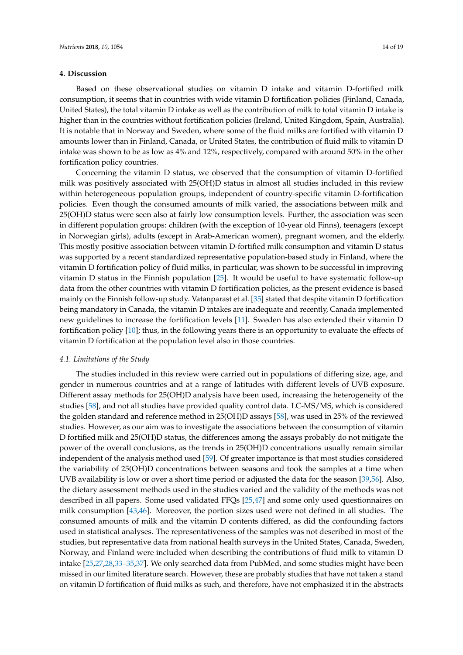## **4. Discussion**

Based on these observational studies on vitamin D intake and vitamin D-fortified milk consumption, it seems that in countries with wide vitamin D fortification policies (Finland, Canada, United States), the total vitamin D intake as well as the contribution of milk to total vitamin D intake is higher than in the countries without fortification policies (Ireland, United Kingdom, Spain, Australia). It is notable that in Norway and Sweden, where some of the fluid milks are fortified with vitamin D amounts lower than in Finland, Canada, or United States, the contribution of fluid milk to vitamin D intake was shown to be as low as 4% and 12%, respectively, compared with around 50% in the other fortification policy countries.

Concerning the vitamin D status, we observed that the consumption of vitamin D-fortified milk was positively associated with 25(OH)D status in almost all studies included in this review within heterogeneous population groups, independent of country-specific vitamin D-fortification policies. Even though the consumed amounts of milk varied, the associations between milk and 25(OH)D status were seen also at fairly low consumption levels. Further, the association was seen in different population groups: children (with the exception of 10-year old Finns), teenagers (except in Norwegian girls), adults (except in Arab-American women), pregnant women, and the elderly. This mostly positive association between vitamin D-fortified milk consumption and vitamin D status was supported by a recent standardized representative population-based study in Finland, where the vitamin D fortification policy of fluid milks, in particular, was shown to be successful in improving vitamin D status in the Finnish population [\[25\]](#page-16-2). It would be useful to have systematic follow-up data from the other countries with vitamin D fortification policies, as the present evidence is based mainly on the Finnish follow-up study. Vatanparast et al. [\[35\]](#page-17-33) stated that despite vitamin D fortification being mandatory in Canada, the vitamin D intakes are inadequate and recently, Canada implemented new guidelines to increase the fortification levels [\[11\]](#page-15-10). Sweden has also extended their vitamin D fortification policy [\[10\]](#page-15-9); thus, in the following years there is an opportunity to evaluate the effects of vitamin D fortification at the population level also in those countries.

#### *4.1. Limitations of the Study*

The studies included in this review were carried out in populations of differing size, age, and gender in numerous countries and at a range of latitudes with different levels of UVB exposure. Different assay methods for 25(OH)D analysis have been used, increasing the heterogeneity of the studies [\[58\]](#page-18-10), and not all studies have provided quality control data. LC-MS/MS, which is considered the golden standard and reference method in 25(OH)D assays [\[58\]](#page-18-10), was used in 25% of the reviewed studies. However, as our aim was to investigate the associations between the consumption of vitamin D fortified milk and 25(OH)D status, the differences among the assays probably do not mitigate the power of the overall conclusions, as the trends in 25(OH)D concentrations usually remain similar independent of the analysis method used [\[59\]](#page-18-11). Of greater importance is that most studies considered the variability of 25(OH)D concentrations between seasons and took the samples at a time when UVB availability is low or over a short time period or adjusted the data for the season [\[39,](#page-17-2)[56\]](#page-18-3). Also, the dietary assessment methods used in the studies varied and the validity of the methods was not described in all papers. Some used validated FFQs [\[25](#page-16-2)[,47\]](#page-17-17) and some only used questionnaires on milk consumption [\[43](#page-17-13)[,46\]](#page-17-16). Moreover, the portion sizes used were not defined in all studies. The consumed amounts of milk and the vitamin D contents differed, as did the confounding factors used in statistical analyses. The representativeness of the samples was not described in most of the studies, but representative data from national health surveys in the United States, Canada, Sweden, Norway, and Finland were included when describing the contributions of fluid milk to vitamin D intake [\[25,](#page-16-2)[27](#page-16-4)[,28,](#page-16-5)[33–](#page-16-8)[35](#page-17-33)[,37\]](#page-17-0). We only searched data from PubMed, and some studies might have been missed in our limited literature search. However, these are probably studies that have not taken a stand on vitamin D fortification of fluid milks as such, and therefore, have not emphasized it in the abstracts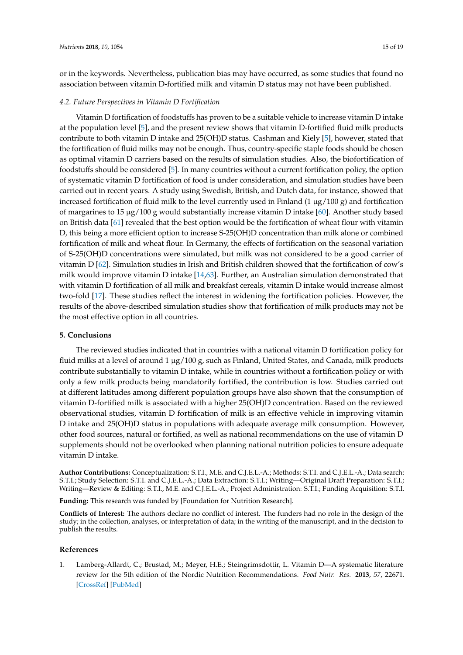or in the keywords. Nevertheless, publication bias may have occurred, as some studies that found no association between vitamin D-fortified milk and vitamin D status may not have been published.

## *4.2. Future Perspectives in Vitamin D Fortification*

Vitamin D fortification of foodstuffs has proven to be a suitable vehicle to increase vitamin D intake at the population level [\[5\]](#page-15-3), and the present review shows that vitamin D-fortified fluid milk products contribute to both vitamin D intake and 25(OH)D status. Cashman and Kiely [\[5\]](#page-15-3), however, stated that the fortification of fluid milks may not be enough. Thus, country-specific staple foods should be chosen as optimal vitamin D carriers based on the results of simulation studies. Also, the biofortification of foodstuffs should be considered [\[5\]](#page-15-3). In many countries without a current fortification policy, the option of systematic vitamin D fortification of food is under consideration, and simulation studies have been carried out in recent years. A study using Swedish, British, and Dutch data, for instance, showed that increased fortification of fluid milk to the level currently used in Finland  $(1 \mu g/100 \, g)$  and fortification of margarines to 15 µg/100 g would substantially increase vitamin D intake [\[60\]](#page-18-12). Another study based on British data [\[61\]](#page-18-13) revealed that the best option would be the fortification of wheat flour with vitamin D, this being a more efficient option to increase S-25(OH)D concentration than milk alone or combined fortification of milk and wheat flour. In Germany, the effects of fortification on the seasonal variation of S-25(OH)D concentrations were simulated, but milk was not considered to be a good carrier of vitamin D [\[62\]](#page-18-14). Simulation studies in Irish and British children showed that the fortification of cow's milk would improve vitamin D intake [\[14](#page-15-28)[,63\]](#page-18-15). Further, an Australian simulation demonstrated that with vitamin D fortification of all milk and breakfast cereals, vitamin D intake would increase almost two-fold [\[17\]](#page-15-12). These studies reflect the interest in widening the fortification policies. However, the results of the above-described simulation studies show that fortification of milk products may not be the most effective option in all countries.

## **5. Conclusions**

The reviewed studies indicated that in countries with a national vitamin D fortification policy for fluid milks at a level of around 1 µg/100 g, such as Finland, United States, and Canada, milk products contribute substantially to vitamin D intake, while in countries without a fortification policy or with only a few milk products being mandatorily fortified, the contribution is low. Studies carried out at different latitudes among different population groups have also shown that the consumption of vitamin D-fortified milk is associated with a higher 25(OH)D concentration. Based on the reviewed observational studies, vitamin D fortification of milk is an effective vehicle in improving vitamin D intake and 25(OH)D status in populations with adequate average milk consumption. However, other food sources, natural or fortified, as well as national recommendations on the use of vitamin D supplements should not be overlooked when planning national nutrition policies to ensure adequate vitamin D intake.

**Author Contributions:** Conceptualization: S.T.I., M.E. and C.J.E.L.-A.; Methods: S.T.I. and C.J.E.L.-A.; Data search: S.T.I.; Study Selection: S.T.I. and C.J.E.L.-A.; Data Extraction: S.T.I.; Writing—Original Draft Preparation: S.T.I.; Writing—Review & Editing: S.T.I., M.E. and C.J.E.L.-A.; Project Administration: S.T.I.; Funding Acquisition: S.T.I.

**Funding:** This research was funded by [Foundation for Nutrition Research].

**Conflicts of Interest:** The authors declare no conflict of interest. The funders had no role in the design of the study; in the collection, analyses, or interpretation of data; in the writing of the manuscript, and in the decision to publish the results.

## **References**

<span id="page-14-0"></span>1. Lamberg-Allardt, C.; Brustad, M.; Meyer, H.E.; Steingrimsdottir, L. Vitamin D—A systematic literature review for the 5th edition of the Nordic Nutrition Recommendations. *Food Nutr. Res.* **2013**, *57*, 22671. [\[CrossRef\]](http://dx.doi.org/10.3402/fnr.v57i0.22671) [\[PubMed\]](http://www.ncbi.nlm.nih.gov/pubmed/24106457)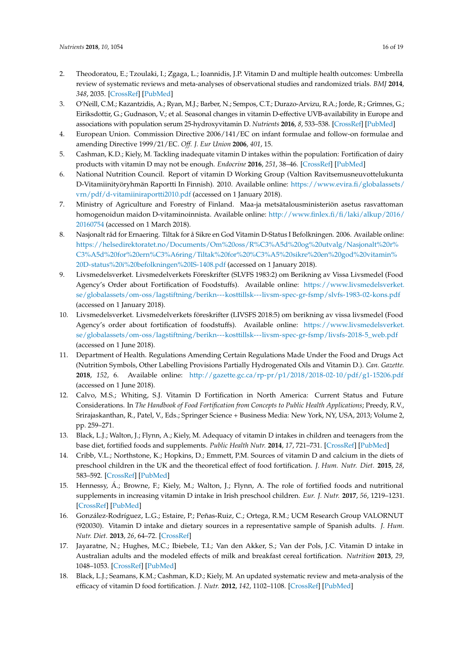- <span id="page-15-17"></span><span id="page-15-16"></span><span id="page-15-15"></span><span id="page-15-14"></span><span id="page-15-0"></span>2. Theodoratou, E.; Tzoulaki, I.; Zgaga, L.; Ioannidis, J.P. Vitamin D and multiple health outcomes: Umbrella review of systematic reviews and meta-analyses of observational studies and randomized trials. *BMJ* **2014**, *348*, 2035. [\[CrossRef\]](http://dx.doi.org/10.1136/bmj.g2035) [\[PubMed\]](http://www.ncbi.nlm.nih.gov/pubmed/24690624)
- <span id="page-15-1"></span>3. O'Neill, C.M.; Kazantzidis, A.; Ryan, M.J.; Barber, N.; Sempos, C.T.; Durazo-Arvizu, R.A.; Jorde, R.; Grimnes, G.; Eiriksdottir, G.; Gudnason, V.; et al. Seasonal changes in vitamin D-effective UVB-availability in Europe and associations with population serum 25-hydroxyvitamin D. *Nutrients* **2016**, *8*, 533–538. [\[CrossRef\]](http://dx.doi.org/10.3390/nu8090533) [\[PubMed\]](http://www.ncbi.nlm.nih.gov/pubmed/27589793)
- <span id="page-15-18"></span><span id="page-15-2"></span>4. European Union. Commission Directive 2006/141/EC on infant formulae and follow-on formulae and amending Directive 1999/21/EC. *Off. J. Eur Union* **2006**, *401*, 15.
- <span id="page-15-19"></span><span id="page-15-3"></span>5. Cashman, K.D.; Kiely, M. Tackling inadequate vitamin D intakes within the population: Fortification of dairy products with vitamin D may not be enough. *Endocrine* **2016**, *251*, 38–46. [\[CrossRef\]](http://dx.doi.org/10.1007/s12020-015-0711-x) [\[PubMed\]](http://www.ncbi.nlm.nih.gov/pubmed/26260695)
- <span id="page-15-4"></span>6. National Nutrition Council. Report of vitamin D Working Group (Valtion Ravitsemusneuvottelukunta D-Vitamiinityöryhmän Raportti In Finnish). 2010. Available online: [https://www.evira.fi/globalassets/](https://www.evira.fi/globalassets/vrn/pdf/d-vitamiiniraportti2010.pdf) [vrn/pdf/d-vitamiiniraportti2010.pdf](https://www.evira.fi/globalassets/vrn/pdf/d-vitamiiniraportti2010.pdf) (accessed on 1 January 2018).
- <span id="page-15-20"></span><span id="page-15-6"></span>7. Ministry of Agriculture and Forestry of Finland. Maa-ja metsätalousministeriön asetus rasvattoman homogenoidun maidon D-vitaminoinnista. Available online: [http://www.finlex.fi/fi/laki/alkup/2016/](http://www.finlex.fi/fi/laki/alkup/2016/20160754) [20160754](http://www.finlex.fi/fi/laki/alkup/2016/20160754) (accessed on 1 March 2018).
- <span id="page-15-23"></span><span id="page-15-7"></span>8. Nasjonalt råd for Ernaering. Tiltak for å Sikre en God Vitamin D-Status I Befolkningen. 2006. Available online: [https://helsedirektoratet.no/Documents/Om%20oss/R%C3%A5d%20og%20utvalg/Nasjonalt%20r%](https://helsedirektoratet.no/Documents/Om%20oss/R%C3%A5d%20og%20utvalg/Nasjonalt%20r%C3%A5d%20for%20ern%C3%A6ring/Tiltak%20for%20%C3%A5%20sikre%20en%20god%20vitamin%20D-status%20i%20befolkningen%20IS-1408.pdf) [C3%A5d%20for%20ern%C3%A6ring/Tiltak%20for%20%C3%A5%20sikre%20en%20god%20vitamin%](https://helsedirektoratet.no/Documents/Om%20oss/R%C3%A5d%20og%20utvalg/Nasjonalt%20r%C3%A5d%20for%20ern%C3%A6ring/Tiltak%20for%20%C3%A5%20sikre%20en%20god%20vitamin%20D-status%20i%20befolkningen%20IS-1408.pdf) [20D-status%20i%20befolkningen%20IS-1408.pdf](https://helsedirektoratet.no/Documents/Om%20oss/R%C3%A5d%20og%20utvalg/Nasjonalt%20r%C3%A5d%20for%20ern%C3%A6ring/Tiltak%20for%20%C3%A5%20sikre%20en%20god%20vitamin%20D-status%20i%20befolkningen%20IS-1408.pdf) (accessed on 1 January 2018).
- <span id="page-15-25"></span><span id="page-15-24"></span><span id="page-15-8"></span>9. Livsmedelsverket. Livsmedelverkets Föreskrifter (SLVFS 1983:2) om Berikning av Vissa Livsmedel (Food Agency's Order about Fortification of Foodstuffs). Available online: [https://www.livsmedelsverket.](https://www.livsmedelsverket.se/globalassets/om-oss/lagstiftning/berikn---kosttillsk---livsm-spec-gr-fsmp/slvfs-1983-02-kons.pdf) [se/globalassets/om-oss/lagstiftning/berikn---kosttillsk---livsm-spec-gr-fsmp/slvfs-1983-02-kons.pdf](https://www.livsmedelsverket.se/globalassets/om-oss/lagstiftning/berikn---kosttillsk---livsm-spec-gr-fsmp/slvfs-1983-02-kons.pdf) (accessed on 1 January 2018).
- <span id="page-15-26"></span><span id="page-15-9"></span>10. Livsmedelsverket. Livsmedelverkets föreskrifter (LIVSFS 2018:5) om berikning av vissa livsmedel (Food Agency's order about fortification of foodstuffs). Available online: [https://www.livsmedelsverket.](https://www.livsmedelsverket.se/globalassets/om-oss/lagstiftning/berikn---kosttillsk---livsm-spec-gr-fsmp/livsfs-2018-5_web.pdf) [se/globalassets/om-oss/lagstiftning/berikn---kosttillsk---livsm-spec-gr-fsmp/livsfs-2018-5\\_web.pdf](https://www.livsmedelsverket.se/globalassets/om-oss/lagstiftning/berikn---kosttillsk---livsm-spec-gr-fsmp/livsfs-2018-5_web.pdf) (accessed on 1 June 2018).
- <span id="page-15-27"></span><span id="page-15-10"></span>11. Department of Health. Regulations Amending Certain Regulations Made Under the Food and Drugs Act (Nutrition Symbols, Other Labelling Provisions Partially Hydrogenated Oils and Vitamin D.). *Can. Gazette.* **2018**, *152*, 6. Available online: <http://gazette.gc.ca/rp-pr/p1/2018/2018-02-10/pdf/g1-15206.pdf> (accessed on 1 June 2018).
- <span id="page-15-5"></span>12. Calvo, M.S.; Whiting, S.J. Vitamin D Fortification in North America: Current Status and Future Considerations. In *The Handbook of Food Fortification from Concepts to Public Health Applications*; Preedy, R.V., Srirajaskanthan, R., Patel, V., Eds.; Springer Science + Business Media: New York, NY, USA, 2013; Volume 2, pp. 259–271.
- <span id="page-15-11"></span>13. Black, L.J.; Walton, J.; Flynn, A.; Kiely, M. Adequacy of vitamin D intakes in children and teenagers from the base diet, fortified foods and supplements. *Public Health Nutr.* **2014**, *17*, 721–731. [\[CrossRef\]](http://dx.doi.org/10.1017/S1368980013000359) [\[PubMed\]](http://www.ncbi.nlm.nih.gov/pubmed/23442310)
- <span id="page-15-28"></span>14. Cribb, V.L.; Northstone, K.; Hopkins, D.; Emmett, P.M. Sources of vitamin D and calcium in the diets of preschool children in the UK and the theoretical effect of food fortification. *J. Hum. Nutr. Diet.* **2015**, *28*, 583–592. [\[CrossRef\]](http://dx.doi.org/10.1111/jhn.12277) [\[PubMed\]](http://www.ncbi.nlm.nih.gov/pubmed/25280181)
- <span id="page-15-21"></span>15. Hennessy, Á.; Browne, F.; Kiely, M.; Walton, J.; Flynn, A. The role of fortified foods and nutritional supplements in increasing vitamin D intake in Irish preschool children. *Eur. J. Nutr.* **2017**, *56*, 1219–1231. [\[CrossRef\]](http://dx.doi.org/10.1007/s00394-016-1171-7) [\[PubMed\]](http://www.ncbi.nlm.nih.gov/pubmed/26895200)
- <span id="page-15-22"></span>16. González-Rodríguez, L.G.; Estaire, P.; Peñas-Ruiz, C.; Ortega, R.M.; UCM Research Group VALORNUT (920030). Vitamin D intake and dietary sources in a representative sample of Spanish adults. *J. Hum. Nutr. Diet.* **2013**, *26*, 64–72. [\[CrossRef\]](http://dx.doi.org/10.1111/jhn.12061)
- <span id="page-15-12"></span>17. Jayaratne, N.; Hughes, M.C.; Ibiebele, T.I.; Van den Akker, S.; Van der Pols, J.C. Vitamin D intake in Australian adults and the modeled effects of milk and breakfast cereal fortification. *Nutrition* **2013**, *29*, 1048–1053. [\[CrossRef\]](http://dx.doi.org/10.1016/j.nut.2013.02.011) [\[PubMed\]](http://www.ncbi.nlm.nih.gov/pubmed/23759266)
- <span id="page-15-13"></span>18. Black, L.J.; Seamans, K.M.; Cashman, K.D.; Kiely, M. An updated systematic review and meta-analysis of the efficacy of vitamin D food fortification. *J. Nutr.* **2012**, *142*, 1102–1108. [\[CrossRef\]](http://dx.doi.org/10.3945/jn.112.158014) [\[PubMed\]](http://www.ncbi.nlm.nih.gov/pubmed/22513988)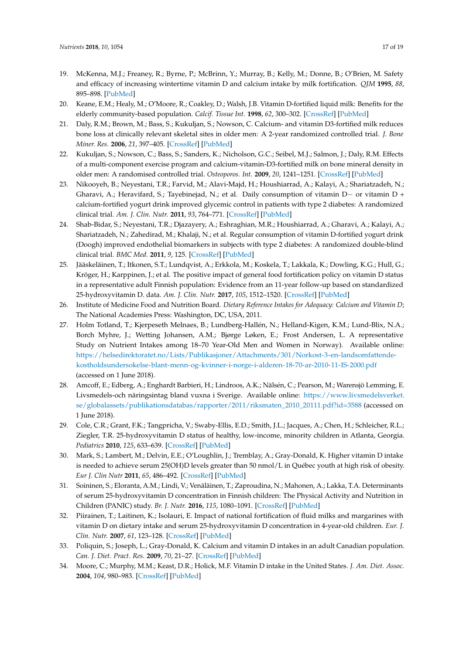- <span id="page-16-14"></span><span id="page-16-0"></span>19. McKenna, M.J.; Freaney, R.; Byrne, P.; McBrinn, Y.; Murray, B.; Kelly, M.; Donne, B.; O'Brien, M. Safety and efficacy of increasing wintertime vitamin D and calcium intake by milk fortification. *QJM* **1995**, *88*, 895–898. [\[PubMed\]](http://www.ncbi.nlm.nih.gov/pubmed/8593549)
- 20. Keane, E.M.; Healy, M.; O'Moore, R.; Coakley, D.; Walsh, J.B. Vitamin D-fortified liquid milk: Benefits for the elderly community-based population. *Calcif. Tissue Int.* **1998**, *62*, 300–302. [\[CrossRef\]](http://dx.doi.org/10.1007/s002239900435) [\[PubMed\]](http://www.ncbi.nlm.nih.gov/pubmed/9504953)
- <span id="page-16-13"></span>21. Daly, R.M.; Brown, M.; Bass, S.; Kukuljan, S.; Nowson, C. Calcium- and vitamin D3-fortified milk reduces bone loss at clinically relevant skeletal sites in older men: A 2-year randomized controlled trial. *J. Bone Miner. Res.* **2006**, *21*, 397–405. [\[CrossRef\]](http://dx.doi.org/10.1359/JBMR.051206) [\[PubMed\]](http://www.ncbi.nlm.nih.gov/pubmed/16491287)
- 22. Kukuljan, S.; Nowson, C.; Bass, S.; Sanders, K.; Nicholson, G.C.; Seibel, M.J.; Salmon, J.; Daly, R.M. Effects of a multi-component exercise program and calcium-vitamin-D3-fortified milk on bone mineral density in older men: A randomised controlled trial. *Osteoporos. Int.* **2009**, *20*, 1241–1251. [\[CrossRef\]](http://dx.doi.org/10.1007/s00198-008-0776-y) [\[PubMed\]](http://www.ncbi.nlm.nih.gov/pubmed/18958384)
- <span id="page-16-12"></span>23. Nikooyeh, B.; Neyestani, T.R.; Farvid, M.; Alavi-Majd, H.; Houshiarrad, A.; Kalayi, A.; Shariatzadeh, N.; Gharavi, A.; Heravifard, S.; Tayebinejad, N.; et al. Daily consumption of vitamin D− or vitamin D + calcium-fortified yogurt drink improved glycemic control in patients with type 2 diabetes: A randomized clinical trial. *Am. J. Clin. Nutr.* **2011**, *93*, 764–771. [\[CrossRef\]](http://dx.doi.org/10.3945/ajcn.110.007336) [\[PubMed\]](http://www.ncbi.nlm.nih.gov/pubmed/21289226)
- <span id="page-16-9"></span><span id="page-16-1"></span>24. Shab-Bidar, S.; Neyestani, T.R.; Djazayery, A.; Eshraghian, M.R.; Houshiarrad, A.; Gharavi, A.; Kalayi, A.; Shariatzadeh, N.; Zahedirad, M.; Khalaji, N.; et al. Regular consumption of vitamin D-fortified yogurt drink (Doogh) improved endothelial biomarkers in subjects with type 2 diabetes: A randomized double-blind clinical trial. *BMC Med.* **2011**, *9*, 125. [\[CrossRef\]](http://dx.doi.org/10.1186/1741-7015-9-125) [\[PubMed\]](http://www.ncbi.nlm.nih.gov/pubmed/22114787)
- <span id="page-16-2"></span>25. Jääskeläinen, T.; Itkonen, S.T.; Lundqvist, A.; Erkkola, M.; Koskela, T.; Lakkala, K.; Dowling, K.G.; Hull, G.; Kröger, H.; Karppinen, J.; et al. The positive impact of general food fortification policy on vitamin D status in a representative adult Finnish population: Evidence from an 11-year follow-up based on standardized 25-hydroxyvitamin D. data. *Am. J. Clin. Nutr.* **2017**, *105*, 1512–1520. [\[CrossRef\]](http://dx.doi.org/10.3945/ajcn.116.151415) [\[PubMed\]](http://www.ncbi.nlm.nih.gov/pubmed/28490516)
- <span id="page-16-11"></span><span id="page-16-3"></span>26. Institute of Medicine Food and Nutrition Board. *Dietary Reference Intakes for Adequacy: Calcium and Vitamin D*; The National Academies Press: Washington, DC, USA, 2011.
- <span id="page-16-15"></span><span id="page-16-10"></span><span id="page-16-4"></span>27. Holm Totland, T.; Kjerpeseth Melnaes, B.; Lundberg-Hallén, N.; Helland-Kigen, K.M.; Lund-Blix, N.A.; Borch Myhre, J.; Wetting Johansen, A.M.; Bjørge Løken, E.; Frost Andersen, L. A representative Study on Nutrient Intakes among 18–70 Year-Old Men and Women in Norway). Available online: [https://helsedirektoratet.no/Lists/Publikasjoner/Attachments/301/Norkost-3-en-landsomfattende](https://helsedirektoratet.no/Lists/Publikasjoner/Attachments/301/Norkost-3-en-landsomfattende-kostholdsundersokelse-blant-menn-og-kvinner-i-norge-i-alderen-18-70-ar-2010-11-IS-2000.pdf)[kostholdsundersokelse-blant-menn-og-kvinner-i-norge-i-alderen-18-70-ar-2010-11-IS-2000.pdf](https://helsedirektoratet.no/Lists/Publikasjoner/Attachments/301/Norkost-3-en-landsomfattende-kostholdsundersokelse-blant-menn-og-kvinner-i-norge-i-alderen-18-70-ar-2010-11-IS-2000.pdf) (accessed on 1 June 2018).
- <span id="page-16-16"></span><span id="page-16-5"></span>28. Amcoff, E.; Edberg, A.; Enghardt Barbieri, H.; Lindroos, A.K.; Nälsén, C.; Pearson, M.; Warensjö Lemming, E. Livsmedels-och näringsintag bland vuxna i Sverige. Available online: [https://www.livsmedelsverket.](https://www.livsmedelsverket.se/globalassets/publikationsdatabas/rapporter/2011/riksmaten_2010_20111.pdf?id=3588) [se/globalassets/publikationsdatabas/rapporter/2011/riksmaten\\_2010\\_20111.pdf?id=3588](https://www.livsmedelsverket.se/globalassets/publikationsdatabas/rapporter/2011/riksmaten_2010_20111.pdf?id=3588) (accessed on 1 June 2018).
- <span id="page-16-6"></span>29. Cole, C.R.; Grant, F.K.; Tangpricha, V.; Swaby-Ellis, E.D.; Smith, J.L.; Jacques, A.; Chen, H.; Schleicher, R.L.; Ziegler, T.R. 25-hydroxyvitamin D status of healthy, low-income, minority children in Atlanta, Georgia. *Pediatrics* **2010**, *125*, 633–639. [\[CrossRef\]](http://dx.doi.org/10.1542/peds.2009-1928) [\[PubMed\]](http://www.ncbi.nlm.nih.gov/pubmed/20351012)
- <span id="page-16-18"></span>30. Mark, S.; Lambert, M.; Delvin, E.E.; O'Loughlin, J.; Tremblay, A.; Gray-Donald, K. Higher vitamin D intake is needed to achieve serum 25(OH)D levels greater than 50 nmol/L in Québec youth at high risk of obesity. *Eur J. Clin Nutr* **2011**, *65*, 486–492. [\[CrossRef\]](http://dx.doi.org/10.1038/ejcn.2011.5) [\[PubMed\]](http://www.ncbi.nlm.nih.gov/pubmed/21364606)
- <span id="page-16-17"></span>31. Soininen, S.; Eloranta, A.M.; Lindi, V.; Venäläinen, T.; Zaproudina, N.; Mahonen, A.; Lakka, T.A. Determinants of serum 25-hydroxyvitamin D concentration in Finnish children: The Physical Activity and Nutrition in Children (PANIC) study. *Br. J. Nutr.* **2016**, *115*, 1080–1091. [\[CrossRef\]](http://dx.doi.org/10.1017/S0007114515005292) [\[PubMed\]](http://www.ncbi.nlm.nih.gov/pubmed/26836317)
- <span id="page-16-7"></span>32. Piirainen, T.; Laitinen, K.; Isolauri, E. Impact of national fortification of fluid milks and margarines with vitamin D on dietary intake and serum 25-hydroxyvitamin D concentration in 4-year-old children. *Eur. J. Clin. Nutr.* **2007**, *61*, 123–128. [\[CrossRef\]](http://dx.doi.org/10.1038/sj.ejcn.1602506) [\[PubMed\]](http://www.ncbi.nlm.nih.gov/pubmed/16885927)
- <span id="page-16-8"></span>33. Poliquin, S.; Joseph, L.; Gray-Donald, K. Calcium and vitamin D intakes in an adult Canadian population. *Can. J. Diet. Pract. Res.* **2009**, *70*, 21–27. [\[CrossRef\]](http://dx.doi.org/10.3148/70.1.2009.21) [\[PubMed\]](http://www.ncbi.nlm.nih.gov/pubmed/19261203)
- 34. Moore, C.; Murphy, M.M.; Keast, D.R.; Holick, M.F. Vitamin D intake in the United States. *J. Am. Diet. Assoc.* **2004**, *104*, 980–983. [\[CrossRef\]](http://dx.doi.org/10.1016/j.jada.2004.03.028) [\[PubMed\]](http://www.ncbi.nlm.nih.gov/pubmed/15175600)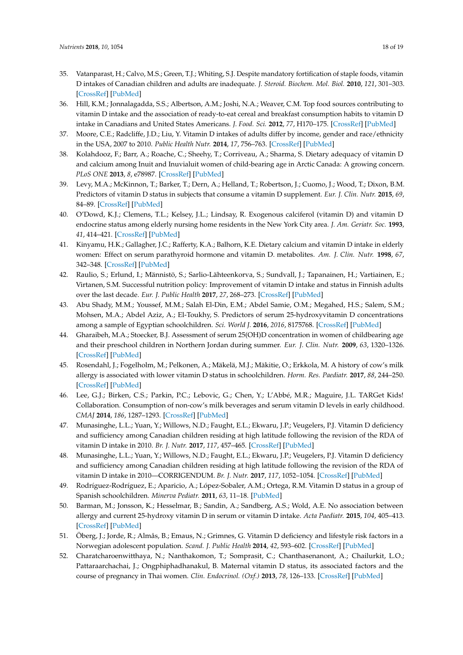- <span id="page-17-33"></span><span id="page-17-32"></span><span id="page-17-12"></span><span id="page-17-11"></span><span id="page-17-10"></span><span id="page-17-9"></span><span id="page-17-8"></span><span id="page-17-7"></span><span id="page-17-6"></span>35. Vatanparast, H.; Calvo, M.S.; Green, T.J.; Whiting, S.J. Despite mandatory fortification of staple foods, vitamin D intakes of Canadian children and adults are inadequate. *J. Steroid. Biochem. Mol. Biol.* **2010**, *121*, 301–303. [\[CrossRef\]](http://dx.doi.org/10.1016/j.jsbmb.2010.03.079) [\[PubMed\]](http://www.ncbi.nlm.nih.gov/pubmed/20399268)
- <span id="page-17-23"></span>36. Hill, K.M.; Jonnalagadda, S.S.; Albertson, A.M.; Joshi, N.A.; Weaver, C.M. Top food sources contributing to vitamin D intake and the association of ready-to-eat cereal and breakfast consumption habits to vitamin D intake in Canadians and United States Americans. *J. Food. Sci.* **2012**, *77*, H170–175. [\[CrossRef\]](http://dx.doi.org/10.1111/j.1750-3841.2012.02787.x) [\[PubMed\]](http://www.ncbi.nlm.nih.gov/pubmed/22747906)
- <span id="page-17-31"></span><span id="page-17-0"></span>37. Moore, C.E.; Radcliffe, J.D.; Liu, Y. Vitamin D intakes of adults differ by income, gender and race/ethnicity in the USA, 2007 to 2010. *Public Health Nutr.* **2014**, *17*, 756–763. [\[CrossRef\]](http://dx.doi.org/10.1017/S1368980013002929) [\[PubMed\]](http://www.ncbi.nlm.nih.gov/pubmed/24176054)
- <span id="page-17-29"></span><span id="page-17-1"></span>38. Kolahdooz, F.; Barr, A.; Roache, C.; Sheehy, T.; Corriveau, A.; Sharma, S. Dietary adequacy of vitamin D and calcium among Inuit and Inuvialuit women of child-bearing age in Arctic Canada: A growing concern. *PLoS ONE* **2013**, *8*, e78987. [\[CrossRef\]](http://dx.doi.org/10.1371/journal.pone.0078987) [\[PubMed\]](http://www.ncbi.nlm.nih.gov/pubmed/24223871)
- <span id="page-17-25"></span><span id="page-17-2"></span>39. Levy, M.A.; McKinnon, T.; Barker, T.; Dern, A.; Helland, T.; Robertson, J.; Cuomo, J.; Wood, T.; Dixon, B.M. Predictors of vitamin D status in subjects that consume a vitamin D supplement. *Eur. J. Clin. Nutr.* **2015**, *69*, 84–89. [\[CrossRef\]](http://dx.doi.org/10.1038/ejcn.2014.133) [\[PubMed\]](http://www.ncbi.nlm.nih.gov/pubmed/25028083)
- <span id="page-17-3"></span>40. O'Dowd, K.J.; Clemens, T.L.; Kelsey, J.L.; Lindsay, R. Exogenous calciferol (vitamin D) and vitamin D endocrine status among elderly nursing home residents in the New York City area. *J. Am. Geriatr. Soc.* **1993**, *41*, 414–421. [\[CrossRef\]](http://dx.doi.org/10.1111/j.1532-5415.1993.tb06950.x) [\[PubMed\]](http://www.ncbi.nlm.nih.gov/pubmed/8463529)
- <span id="page-17-26"></span><span id="page-17-4"></span>41. Kinyamu, H.K.; Gallagher, J.C.; Rafferty, K.A.; Balhorn, K.E. Dietary calcium and vitamin D intake in elderly women: Effect on serum parathyroid hormone and vitamin D. metabolites. *Am. J. Clin. Nutr.* **1998**, *67*, 342–348. [\[CrossRef\]](http://dx.doi.org/10.1093/ajcn/67.2.342) [\[PubMed\]](http://www.ncbi.nlm.nih.gov/pubmed/9459385)
- <span id="page-17-28"></span><span id="page-17-27"></span><span id="page-17-5"></span>42. Raulio, S.; Erlund, I.; Männistö, S.; Sarlio-Lähteenkorva, S.; Sundvall, J.; Tapanainen, H.; Vartiainen, E.; Virtanen, S.M. Successful nutrition policy: Improvement of vitamin D intake and status in Finnish adults over the last decade. *Eur. J. Public Health* **2017**, *27*, 268–273. [\[CrossRef\]](http://dx.doi.org/10.1093/eurpub/ckw154) [\[PubMed\]](http://www.ncbi.nlm.nih.gov/pubmed/28339536)
- <span id="page-17-24"></span><span id="page-17-13"></span>43. Abu Shady, M.M.; Youssef, M.M.; Salah El-Din, E.M.; Abdel Samie, O.M.; Megahed, H.S.; Salem, S.M.; Mohsen, M.A.; Abdel Aziz, A.; El-Toukhy, S. Predictors of serum 25-hydroxyvitamin D concentrations among a sample of Egyptian schoolchildren. *Sci. World J.* **2016**, *2016*, 8175768. [\[CrossRef\]](http://dx.doi.org/10.1155/2016/8175768) [\[PubMed\]](http://www.ncbi.nlm.nih.gov/pubmed/26942211)
- <span id="page-17-30"></span><span id="page-17-14"></span>44. Gharaibeh, M.A.; Stoecker, B.J. Assessment of serum 25(OH)D concentration in women of childbearing age and their preschool children in Northern Jordan during summer. *Eur. J. Clin. Nutr.* **2009**, *63*, 1320–1326. [\[CrossRef\]](http://dx.doi.org/10.1038/ejcn.2009.99) [\[PubMed\]](http://www.ncbi.nlm.nih.gov/pubmed/19707220)
- <span id="page-17-15"></span>45. Rosendahl, J.; Fogelholm, M.; Pelkonen, A.; Mäkelä, M.J.; Mäkitie, O.; Erkkola, M. A history of cow's milk allergy is associated with lower vitamin D status in schoolchildren. *Horm. Res. Paediatr.* **2017**, *88*, 244–250. [\[CrossRef\]](http://dx.doi.org/10.1159/000478779) [\[PubMed\]](http://www.ncbi.nlm.nih.gov/pubmed/28715821)
- <span id="page-17-16"></span>46. Lee, G.J.; Birken, C.S.; Parkin, P.C.; Lebovic, G.; Chen, Y.; L'Abbé, M.R.; Maguire, J.L. TARGet Kids! Collaboration. Consumption of non-cow's milk beverages and serum vitamin D levels in early childhood. *CMAJ* **2014**, *186*, 1287–1293. [\[CrossRef\]](http://dx.doi.org/10.1503/cmaj.140555) [\[PubMed\]](http://www.ncbi.nlm.nih.gov/pubmed/25332367)
- <span id="page-17-17"></span>47. Munasinghe, L.L.; Yuan, Y.; Willows, N.D.; Faught, E.L.; Ekwaru, J.P.; Veugelers, P.J. Vitamin D deficiency and sufficiency among Canadian children residing at high latitude following the revision of the RDA of vitamin D intake in 2010. *Br. J. Nutr.* **2017**, *117*, 457–465. [\[CrossRef\]](http://dx.doi.org/10.1017/S0007114517000320) [\[PubMed\]](http://www.ncbi.nlm.nih.gov/pubmed/28245892)
- <span id="page-17-18"></span>48. Munasinghe, L.L.; Yuan, Y.; Willows, N.D.; Faught, E.L.; Ekwaru, J.P.; Veugelers, P.J. Vitamin D deficiency and sufficiency among Canadian children residing at high latitude following the revision of the RDA of vitamin D intake in 2010—CORRIGENDUM. *Br. J. Nutr.* **2017**, *117*, 1052–1054. [\[CrossRef\]](http://dx.doi.org/10.1017/S0007114517000861) [\[PubMed\]](http://www.ncbi.nlm.nih.gov/pubmed/28534725)
- <span id="page-17-19"></span>49. Rodríguez-Rodríguez, E.; Aparicio, A.; López-Sobaler, A.M.; Ortega, R.M. Vitamin D status in a group of Spanish schoolchildren. *Minerva Pediatr.* **2011**, *63*, 11–18. [\[PubMed\]](http://www.ncbi.nlm.nih.gov/pubmed/21311425)
- <span id="page-17-20"></span>50. Barman, M.; Jonsson, K.; Hesselmar, B.; Sandin, A.; Sandberg, A.S.; Wold, A.E. No association between allergy and current 25-hydroxy vitamin D in serum or vitamin D intake. *Acta Paediatr.* **2015**, *104*, 405–413. [\[CrossRef\]](http://dx.doi.org/10.1111/apa.12936) [\[PubMed\]](http://www.ncbi.nlm.nih.gov/pubmed/25603834)
- <span id="page-17-21"></span>51. Öberg, J.; Jorde, R.; Almås, B.; Emaus, N.; Grimnes, G. Vitamin D deficiency and lifestyle risk factors in a Norwegian adolescent population. *Scand. J. Public Health* **2014**, *42*, 593–602. [\[CrossRef\]](http://dx.doi.org/10.1177/1403494814541593) [\[PubMed\]](http://www.ncbi.nlm.nih.gov/pubmed/25053469)
- <span id="page-17-22"></span>52. Charatcharoenwitthaya, N.; Nanthakomon, T.; Somprasit, C.; Chanthasenanont, A.; Chailurkit, L.O.; Pattaraarchachai, J.; Ongphiphadhanakul, B. Maternal vitamin D status, its associated factors and the course of pregnancy in Thai women. *Clin. Endocrinol. (Oxf.)* **2013**, *78*, 126–133. [\[CrossRef\]](http://dx.doi.org/10.1111/j.1365-2265.2012.04470.x) [\[PubMed\]](http://www.ncbi.nlm.nih.gov/pubmed/22702488)